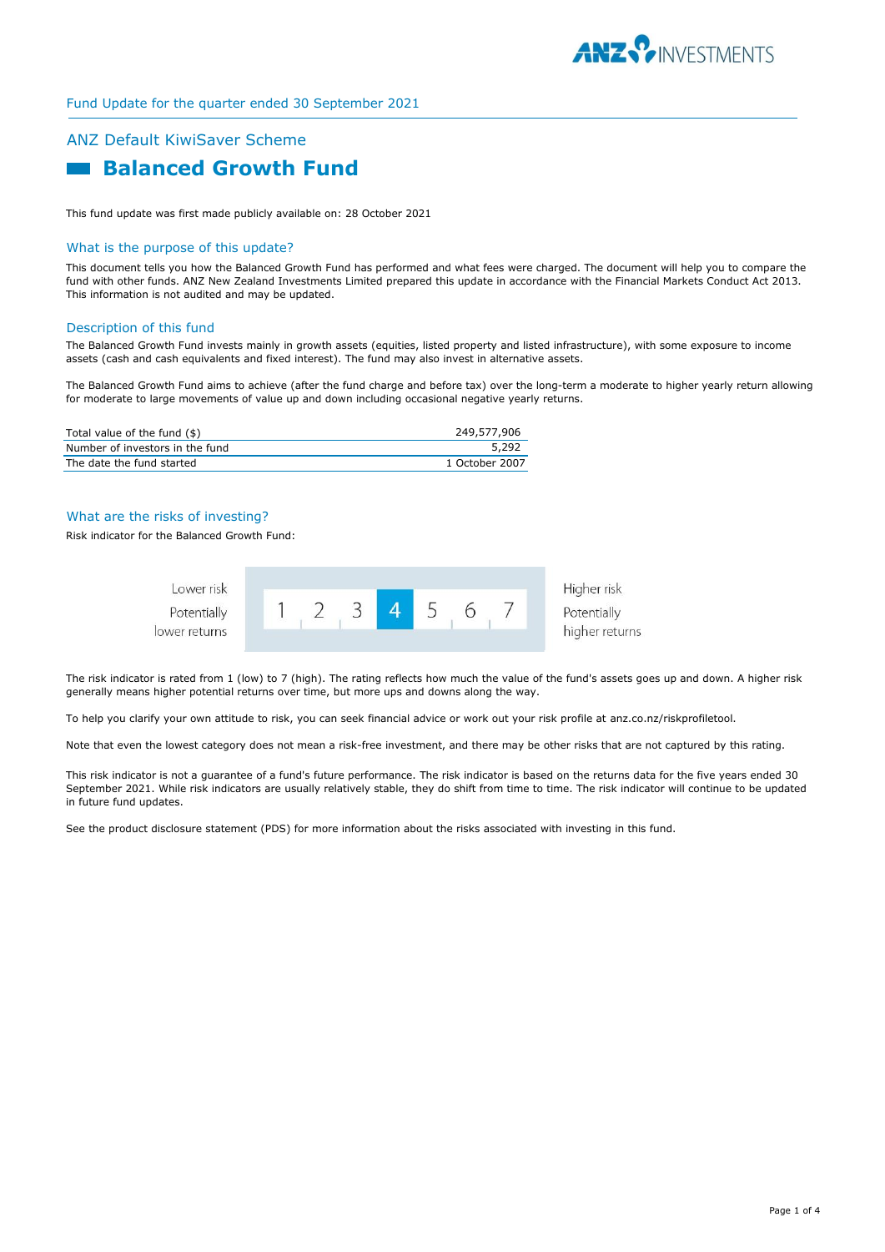

# ANZ Default KiwiSaver Scheme  **Balanced Growth Fund**

This fund update was first made publicly available on: 28 October 2021

## What is the purpose of this update?

This document tells you how the Balanced Growth Fund has performed and what fees were charged. The document will help you to compare the fund with other funds. ANZ New Zealand Investments Limited prepared this update in accordance with the Financial Markets Conduct Act 2013. This information is not audited and may be updated.

#### Description of this fund

The Balanced Growth Fund invests mainly in growth assets (equities, listed property and listed infrastructure), with some exposure to income assets (cash and cash equivalents and fixed interest). The fund may also invest in alternative assets.

The Balanced Growth Fund aims to achieve (after the fund charge and before tax) over the long-term a moderate to higher yearly return allowing for moderate to large movements of value up and down including occasional negative yearly returns.

| Total value of the fund (\$)    | 249,577,906    |
|---------------------------------|----------------|
| Number of investors in the fund | 5,292          |
| The date the fund started       | 1 October 2007 |

## What are the risks of investing?

Risk indicator for the Balanced Growth Fund:



The risk indicator is rated from 1 (low) to 7 (high). The rating reflects how much the value of the fund's assets goes up and down. A higher risk generally means higher potential returns over time, but more ups and downs along the way.

To help you clarify your own attitude to risk, you can seek financial advice or work out your risk profile at anz.co.nz/riskprofiletool.

Note that even the lowest category does not mean a risk-free investment, and there may be other risks that are not captured by this rating.

This risk indicator is not a guarantee of a fund's future performance. The risk indicator is based on the returns data for the five years ended 30 September 2021. While risk indicators are usually relatively stable, they do shift from time to time. The risk indicator will continue to be updated in future fund updates.

See the product disclosure statement (PDS) for more information about the risks associated with investing in this fund.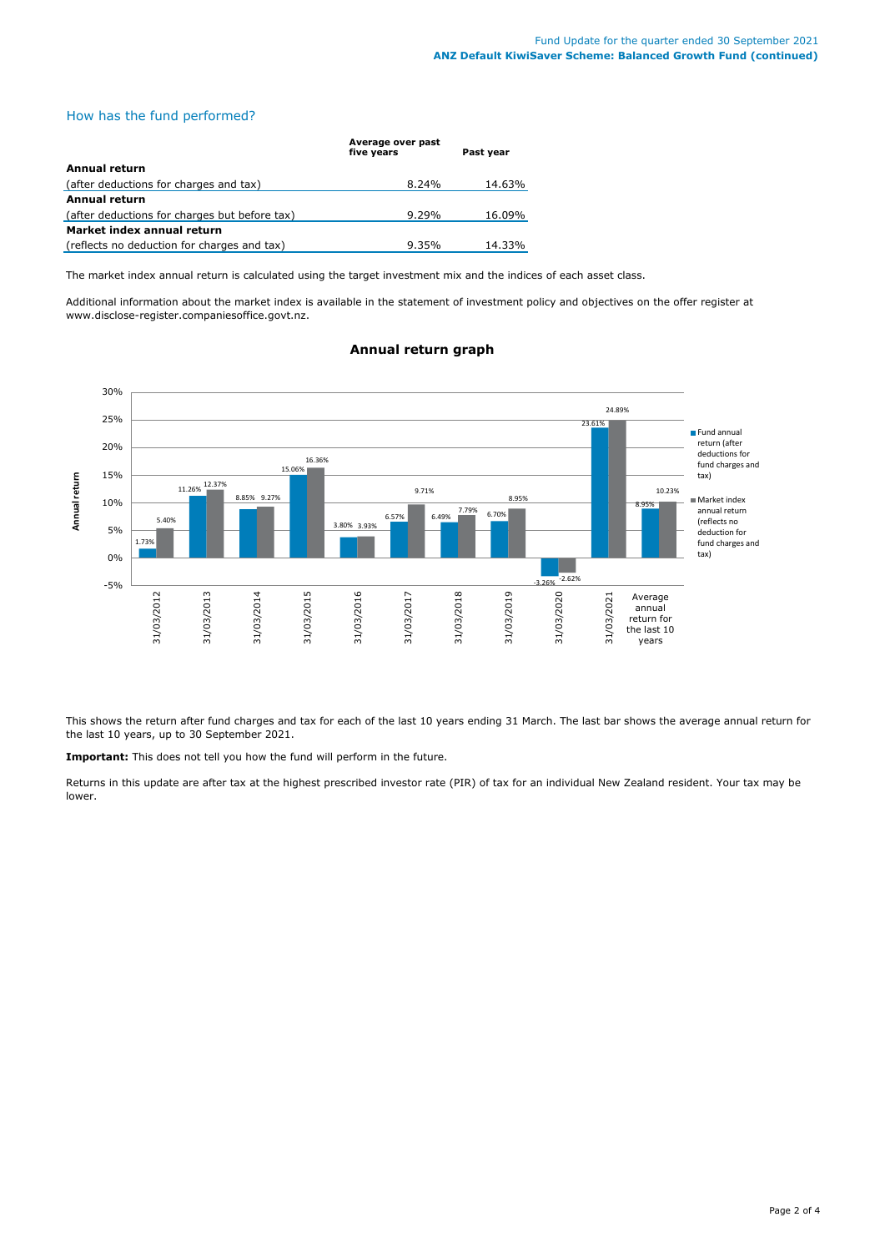## How has the fund performed?

|                                               | Average over past<br>five vears | Past vear |
|-----------------------------------------------|---------------------------------|-----------|
| Annual return                                 |                                 |           |
| (after deductions for charges and tax)        | 8.24%                           | 14.63%    |
| <b>Annual return</b>                          |                                 |           |
| (after deductions for charges but before tax) | $9.29\%$                        | 16.09%    |
| Market index annual return                    |                                 |           |
| (reflects no deduction for charges and tax)   | 9.35%                           | 14.33%    |

The market index annual return is calculated using the target investment mix and the indices of each asset class.

Additional information about the market index is available in the statement of investment policy and objectives on the offer register at www.disclose-register.companiesoffice.govt.nz.



## **Annual return graph**

This shows the return after fund charges and tax for each of the last 10 years ending 31 March. The last bar shows the average annual return for the last 10 years, up to 30 September 2021.

**Important:** This does not tell you how the fund will perform in the future.

Returns in this update are after tax at the highest prescribed investor rate (PIR) of tax for an individual New Zealand resident. Your tax may be lower.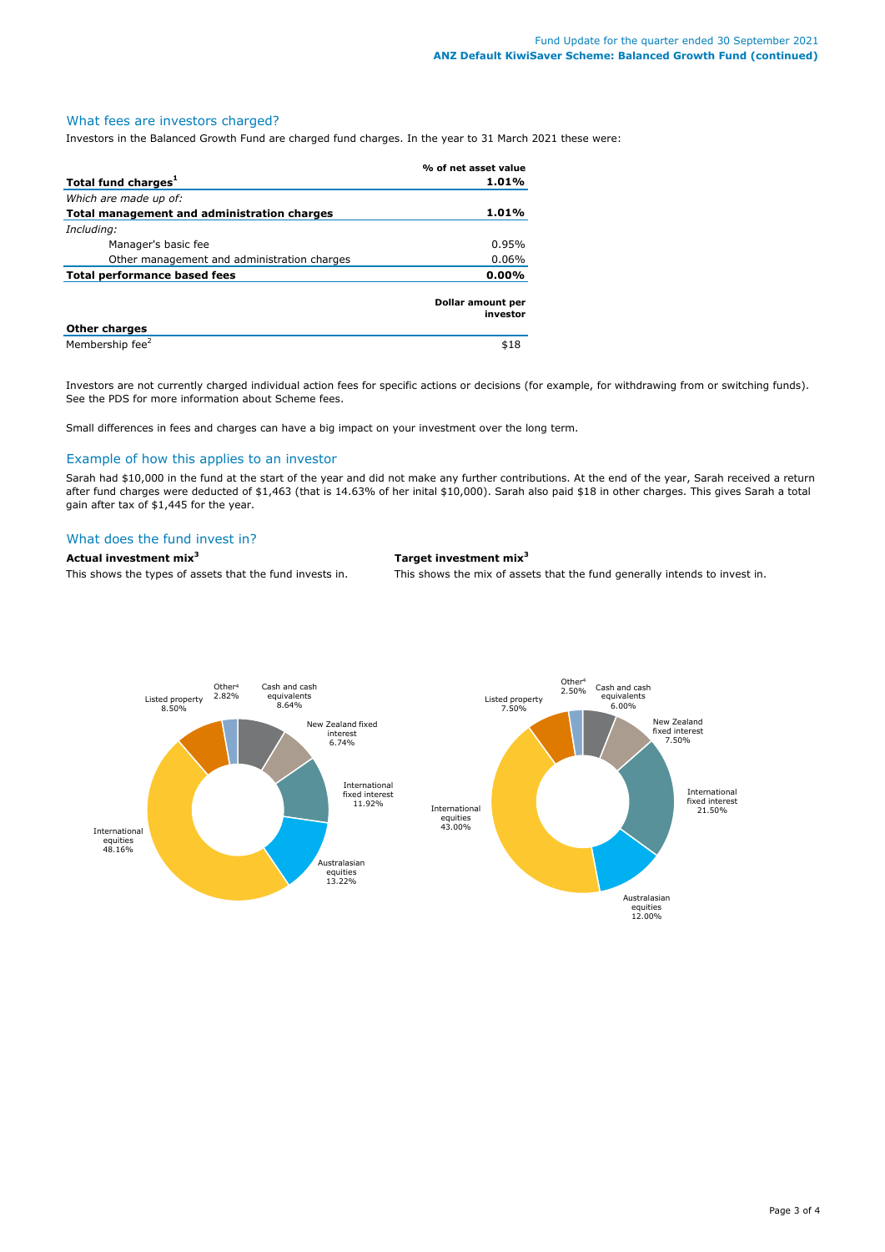## What fees are investors charged?

Investors in the Balanced Growth Fund are charged fund charges. In the year to 31 March 2021 these were:

|                                             | % of net asset value          |
|---------------------------------------------|-------------------------------|
| Total fund charges <sup>1</sup>             | 1.01%                         |
| Which are made up of:                       |                               |
| Total management and administration charges | 1.01%                         |
| Including:                                  |                               |
| Manager's basic fee                         | 0.95%                         |
| Other management and administration charges | 0.06%                         |
| <b>Total performance based fees</b>         | 0.00%                         |
|                                             | Dollar amount per<br>investor |
| <b>Other charges</b>                        |                               |
| Membership fee <sup>2</sup>                 | \$18                          |

Investors are not currently charged individual action fees for specific actions or decisions (for example, for withdrawing from or switching funds). See the PDS for more information about Scheme fees.

Small differences in fees and charges can have a big impact on your investment over the long term.

## Example of how this applies to an investor

Sarah had \$10,000 in the fund at the start of the year and did not make any further contributions. At the end of the year, Sarah received a return after fund charges were deducted of \$1,463 (that is 14.63% of her inital \$10,000). Sarah also paid \$18 in other charges. This gives Sarah a total gain after tax of \$1,445 for the year.

## What does the fund invest in?

**Actual investment mix<sup>3</sup> Target investment mix<sup>3</sup>**

This shows the types of assets that the fund invests in. This shows the mix of assets that the fund generally intends to invest in.